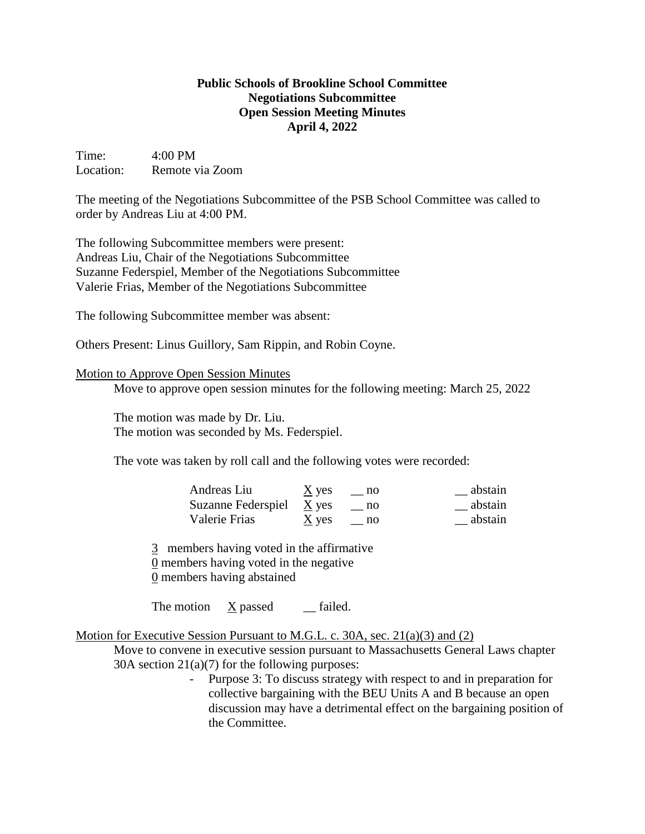## **Public Schools of Brookline School Committee Negotiations Subcommittee Open Session Meeting Minutes April 4, 2022**

Time: 4:00 PM Location: Remote via Zoom

The meeting of the Negotiations Subcommittee of the PSB School Committee was called to order by Andreas Liu at 4:00 PM.

The following Subcommittee members were present: Andreas Liu, Chair of the Negotiations Subcommittee Suzanne Federspiel, Member of the Negotiations Subcommittee Valerie Frias, Member of the Negotiations Subcommittee

The following Subcommittee member was absent:

Others Present: Linus Guillory, Sam Rippin, and Robin Coyne.

## Motion to Approve Open Session Minutes

Move to approve open session minutes for the following meeting: March 25, 2022

The motion was made by Dr. Liu. The motion was seconded by Ms. Federspiel.

The vote was taken by roll call and the following votes were recorded:

| Andreas Liu                | $\underline{X}$ yes | $\equiv$ no | abstain |
|----------------------------|---------------------|-------------|---------|
| Suzanne Federspiel $X$ yes |                     | no no       | abstain |
| Valerie Frias              | $\underline{X}$ yes | no          | abstain |

3 members having voted in the affirmative 0 members having voted in the negative

0 members having abstained

The motion  $\bar{X}$  passed \_\_ failed.

Motion for Executive Session Pursuant to M.G.L. c. 30A, sec. 21(a)(3) and (2)

Move to convene in executive session pursuant to Massachusetts General Laws chapter 30A section 21(a)(7) for the following purposes:

> - Purpose 3: To discuss strategy with respect to and in preparation for collective bargaining with the BEU Units A and B because an open discussion may have a detrimental effect on the bargaining position of the Committee.